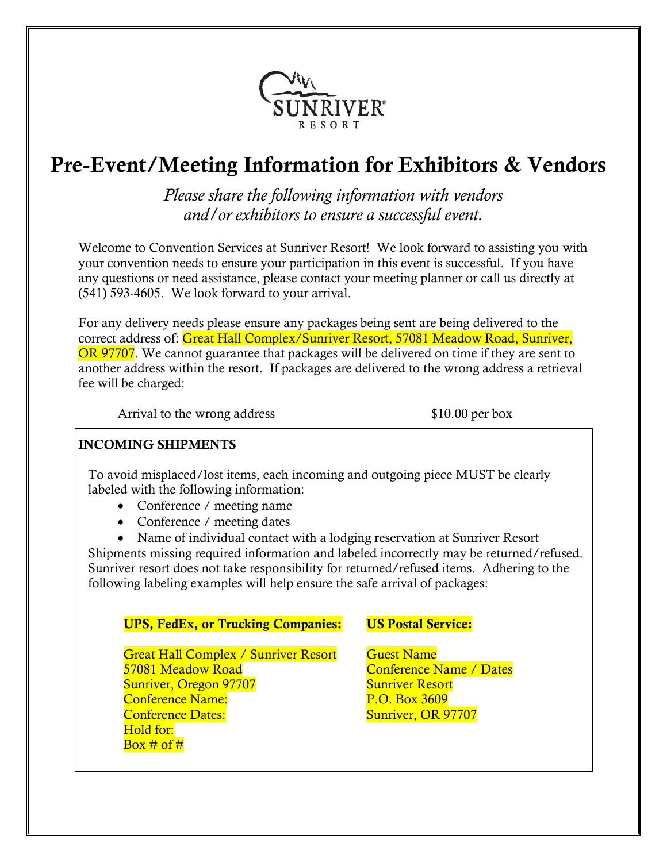

# **Pre-Event/Meeting Information for Exhibitors & Vendors**

*Please share the following information with vendors and/or exhibitors to ensure a successful event.*

Welcome to Convention Services at Sunriver Resort! We look forward to assisting you with your convention needs to ensure your participation in this event is successful. If you have any questions or need assistance, please contact your meeting planner or call us directly at (541) 593-4605. We look forward to your arrival.

For any delivery needs please ensure any packages being sent are being delivered to the correct address of: Great Hall Complex/Sunriver Resort, 57081 Meadow Road, Sunriver, OR 97707. We cannot guarantee that packages will be delivered on time if they are sent to another address within the resort. If packages are delivered to the wrong address a retrieval fee will be charged:

Arrival to the wrong address \$10.00 per box

#### **INCOMING SHIPMENTS**

To avoid misplaced/lost items, each incoming and outgoing piece MUST be clearly labeled with the following information:

- Conference / meeting name
- Conference / meeting dates
- Name of individual contact with a lodging reservation at Sunriver Resort

Shipments missing required information and labeled incorrectly may be returned/refused. Sunriver resort does not take responsibility for returned/refused items. Adhering to the following labeling examples will help ensure the safe arrival of packages:

| <b>UPS, FedEx, or Trucking Companies:</b>   |          |
|---------------------------------------------|----------|
|                                             |          |
| <b>Great Hall Complex / Sunriver Resort</b> | Ĥ        |
| 57081 Meadow Road                           | $\cap$ c |
| Sunriver, Oregon 97707                      | Su       |
| <b>Conference Name:</b>                     | Р.       |
| <b>Conference Dates:</b>                    | Su       |
| Hold for:                                   |          |
| Box # of #                                  |          |
|                                             |          |

#### **S Postal Service:**

uest Name onference Name / Dates <mark>ınriver Resort</mark> O. Box 3609 nriver, OR 97707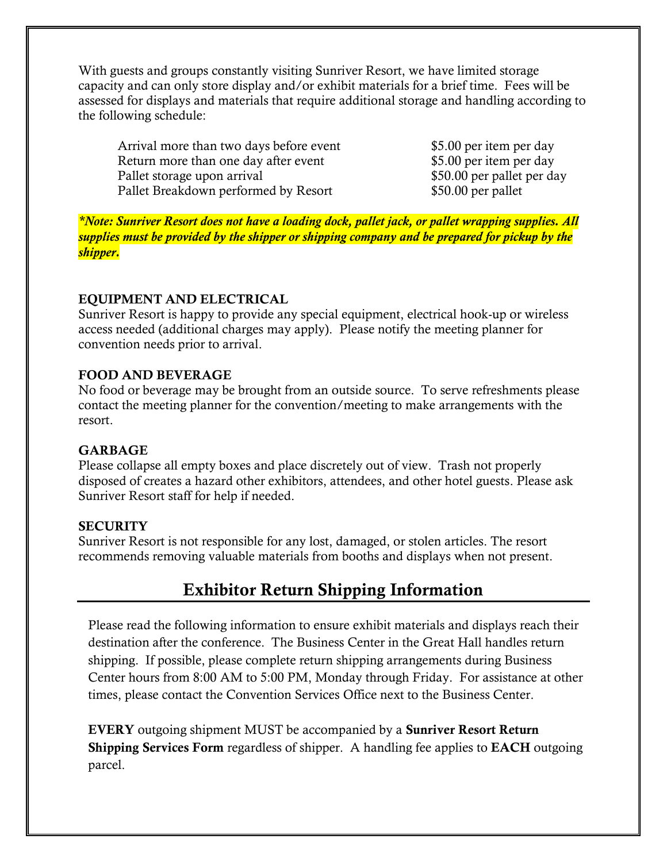With guests and groups constantly visiting Sunriver Resort, we have limited storage capacity and can only store display and/or exhibit materials for a brief time. Fees will be assessed for displays and materials that require additional storage and handling according to the following schedule:

Arrival more than two days before event \$5.00 per item per day Return more than one day after event \$5.00 per item per day Pallet storage upon arrival \$50.00 per pallet per day Pallet Breakdown performed by Resort \$50.00 per pallet

*\*Note: Sunriver Resort does not have a loading dock, pallet jack, or pallet wrapping supplies. All supplies must be provided by the shipper or shipping company and be prepared for pickup by the shipper.* 

#### **EQUIPMENT AND ELECTRICAL**

Sunriver Resort is happy to provide any special equipment, electrical hook-up or wireless access needed (additional charges may apply). Please notify the meeting planner for convention needs prior to arrival.

#### **FOOD AND BEVERAGE**

No food or beverage may be brought from an outside source. To serve refreshments please contact the meeting planner for the convention/meeting to make arrangements with the resort.

#### **GARBAGE**

Please collapse all empty boxes and place discretely out of view. Trash not properly disposed of creates a hazard other exhibitors, attendees, and other hotel guests. Please ask Sunriver Resort staff for help if needed.

#### **SECURITY**

Sunriver Resort is not responsible for any lost, damaged, or stolen articles. The resort recommends removing valuable materials from booths and displays when not present.

### **Exhibitor Return Shipping Information**

Please read the following information to ensure exhibit materials and displays reach their destination after the conference. The Business Center in the Great Hall handles return shipping. If possible, please complete return shipping arrangements during Business Center hours from 8:00 AM to 5:00 PM, Monday through Friday. For assistance at other times, please contact the Convention Services Office next to the Business Center.

**EVERY** outgoing shipment MUST be accompanied by a **Sunriver Resort Return Shipping Services Form** regardless of shipper. A handling fee applies to **EACH** outgoing parcel.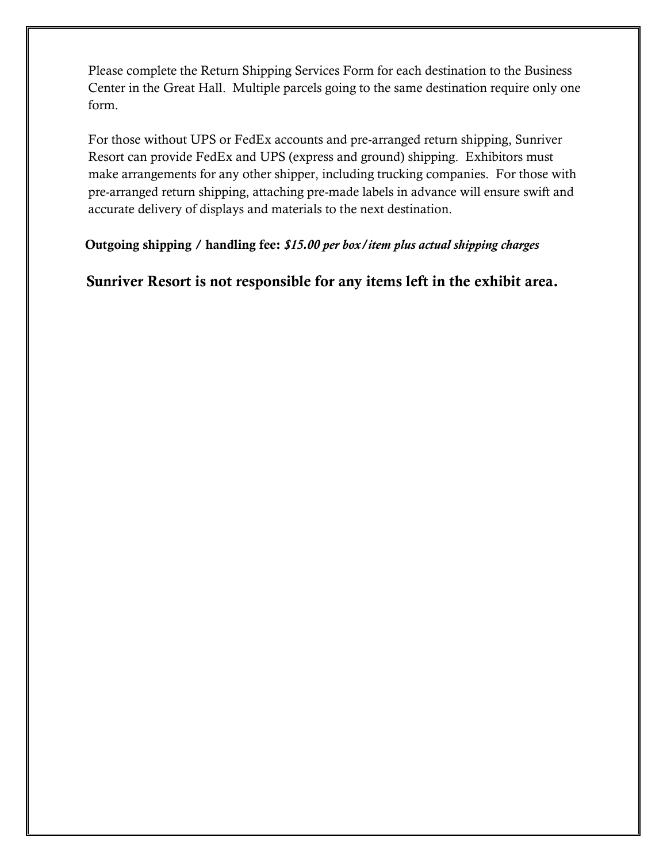Please complete the Return Shipping Services Form for each destination to the Business Center in the Great Hall. Multiple parcels going to the same destination require only one form.

 For those without UPS or FedEx accounts and pre-arranged return shipping, Sunriver Resort can provide FedEx and UPS (express and ground) shipping. Exhibitors must make arrangements for any other shipper, including trucking companies. For those with pre-arranged return shipping, attaching pre-made labels in advance will ensure swift and accurate delivery of displays and materials to the next destination.

 **Outgoing shipping / handling fee:** *\$15.00 per box/item plus actual shipping charges*

**Sunriver Resort is not responsible for any items left in the exhibit area.**